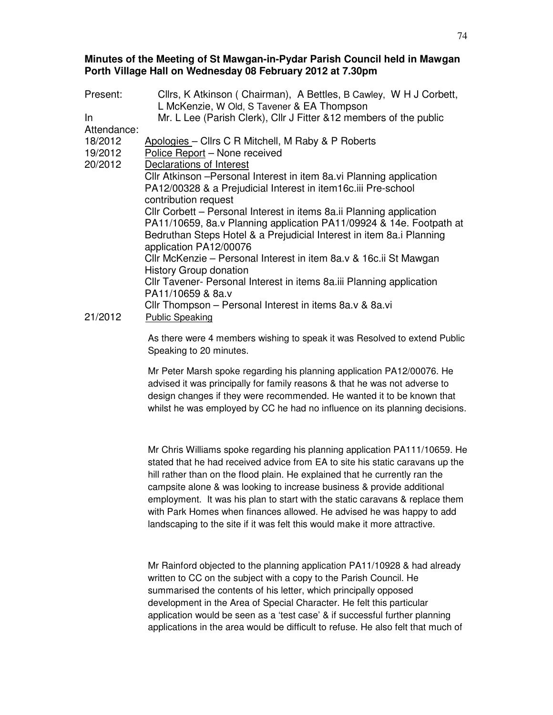## **Minutes of the Meeting of St Mawgan-in-Pydar Parish Council held in Mawgan Porth Village Hall on Wednesday 08 February 2012 at 7.30pm**

| Present:    | Cllrs, K Atkinson (Chairman), A Bettles, B Cawley, W H J Corbett,                                  |
|-------------|----------------------------------------------------------------------------------------------------|
|             | L McKenzie, W Old, S Tavener & EA Thompson                                                         |
| $\ln$       | Mr. L Lee (Parish Clerk), Cllr J Fitter & 12 members of the public                                 |
| Attendance: |                                                                                                    |
| 18/2012     | Apologies - Clirs C R Mitchell, M Raby & P Roberts                                                 |
| 19/2012     | Police Report - None received                                                                      |
| 20/2012     | Declarations of Interest                                                                           |
|             | Cllr Atkinson - Personal Interest in item 8a. vi Planning application                              |
|             | PA12/00328 & a Prejudicial Interest in item16c.iii Pre-school                                      |
|             | contribution request                                                                               |
|             | Cllr Corbett – Personal Interest in items 8a.ii Planning application                               |
|             | PA11/10659, 8a.v Planning application PA11/09924 & 14e. Footpath at                                |
|             | Bedruthan Steps Hotel & a Prejudicial Interest in item 8a.i Planning<br>application PA12/00076     |
|             | Cllr McKenzie – Personal Interest in item 8a.v & 16c.ii St Mawgan<br><b>History Group donation</b> |
|             | CIIr Tavener- Personal Interest in items 8a.iii Planning application<br>PA11/10659 & 8a.v          |
| 21/2012     | Cllr Thompson – Personal Interest in items 8a.v & 8a.vi<br><b>Public Speaking</b>                  |
|             |                                                                                                    |

As there were 4 members wishing to speak it was Resolved to extend Public Speaking to 20 minutes.

Mr Peter Marsh spoke regarding his planning application PA12/00076. He advised it was principally for family reasons & that he was not adverse to design changes if they were recommended. He wanted it to be known that whilst he was employed by CC he had no influence on its planning decisions.

Mr Chris Williams spoke regarding his planning application PA111/10659. He stated that he had received advice from EA to site his static caravans up the hill rather than on the flood plain. He explained that he currently ran the campsite alone & was looking to increase business & provide additional employment. It was his plan to start with the static caravans & replace them with Park Homes when finances allowed. He advised he was happy to add landscaping to the site if it was felt this would make it more attractive.

Mr Rainford objected to the planning application PA11/10928 & had already written to CC on the subject with a copy to the Parish Council. He summarised the contents of his letter, which principally opposed development in the Area of Special Character. He felt this particular application would be seen as a 'test case' & if successful further planning applications in the area would be difficult to refuse. He also felt that much of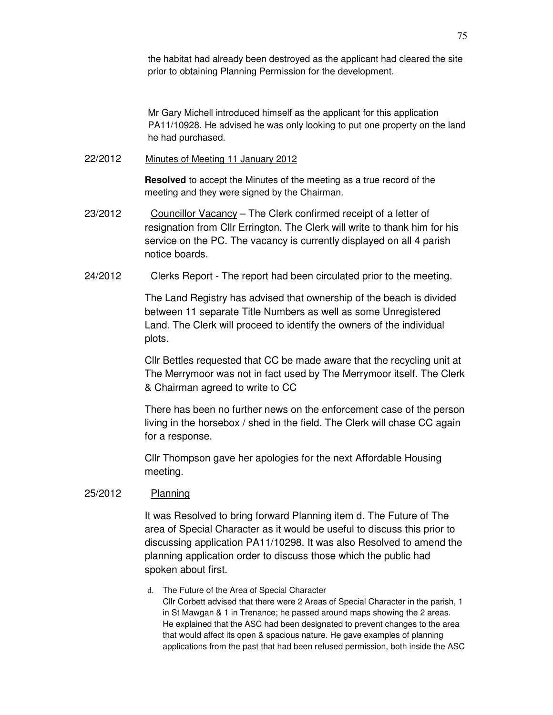the habitat had already been destroyed as the applicant had cleared the site prior to obtaining Planning Permission for the development.

Mr Gary Michell introduced himself as the applicant for this application PA11/10928. He advised he was only looking to put one property on the land he had purchased.

22/2012 Minutes of Meeting 11 January 2012

**Resolved** to accept the Minutes of the meeting as a true record of the meeting and they were signed by the Chairman.

- 23/2012 Councillor Vacancy The Clerk confirmed receipt of a letter of resignation from Cllr Errington. The Clerk will write to thank him for his service on the PC. The vacancy is currently displayed on all 4 parish notice boards.
- 24/2012 Clerks Report The report had been circulated prior to the meeting.

The Land Registry has advised that ownership of the beach is divided between 11 separate Title Numbers as well as some Unregistered Land. The Clerk will proceed to identify the owners of the individual plots.

Cllr Bettles requested that CC be made aware that the recycling unit at The Merrymoor was not in fact used by The Merrymoor itself. The Clerk & Chairman agreed to write to CC

There has been no further news on the enforcement case of the person living in the horsebox / shed in the field. The Clerk will chase CC again for a response.

Cllr Thompson gave her apologies for the next Affordable Housing meeting.

## 25/2012 Planning

It was Resolved to bring forward Planning item d. The Future of The area of Special Character as it would be useful to discuss this prior to discussing application PA11/10298. It was also Resolved to amend the planning application order to discuss those which the public had spoken about first.

d. The Future of the Area of Special Character Cllr Corbett advised that there were 2 Areas of Special Character in the parish, 1 in St Mawgan & 1 in Trenance; he passed around maps showing the 2 areas. He explained that the ASC had been designated to prevent changes to the area that would affect its open & spacious nature. He gave examples of planning applications from the past that had been refused permission, both inside the ASC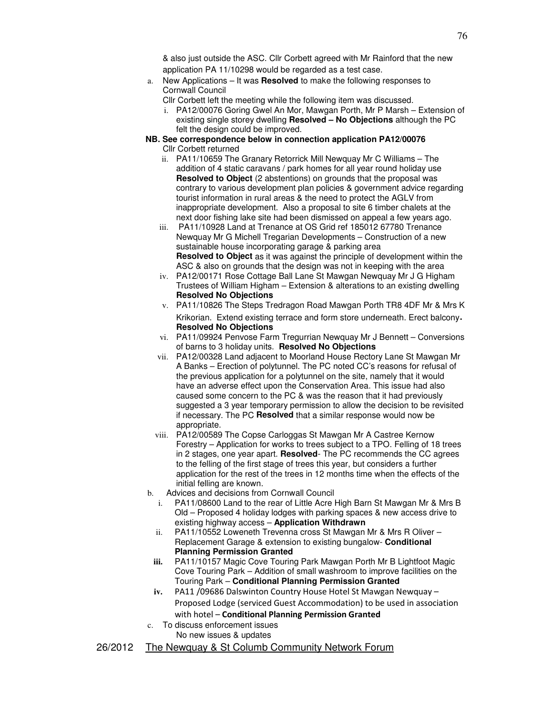& also just outside the ASC. Cllr Corbett agreed with Mr Rainford that the new application PA 11/10298 would be regarded as a test case.

a. New Applications – It was **Resolved** to make the following responses to Cornwall Council

Cllr Corbett left the meeting while the following item was discussed.

- i. PA12/00076 Goring Gwel An Mor, Mawgan Porth, Mr P Marsh Extension of existing single storey dwelling **Resolved – No Objections** although the PC felt the design could be improved.
- **NB. See correspondence below in connection application PA12/00076**  Cllr Corbett returned
	- ii. PA11/10659 The Granary Retorrick Mill Newquay Mr C Williams The addition of 4 static caravans / park homes for all year round holiday use **Resolved to Object** (2 abstentions) on grounds that the proposal was contrary to various development plan policies & government advice regarding tourist information in rural areas & the need to protect the AGLV from inappropriate development. Also a proposal to site 6 timber chalets at the next door fishing lake site had been dismissed on appeal a few years ago.
	- iii. PA11/10928 Land at Trenance at OS Grid ref 185012 67780 Trenance Newquay Mr G Michell Tregarian Developments – Construction of a new sustainable house incorporating garage & parking area **Resolved to Object** as it was against the principle of development within the ASC & also on grounds that the design was not in keeping with the area
	- iv. PA12/00171 Rose Cottage Ball Lane St Mawgan Newquay Mr J G Higham Trustees of William Higham – Extension & alterations to an existing dwelling **Resolved No Objections**
	- v. PA11/10826 The Steps Tredragon Road Mawgan Porth TR8 4DF Mr & Mrs K Krikorian. Extend existing terrace and form store underneath. Erect balcony. **Resolved No Objections**
	- vi. PA11/09924 Penvose Farm Tregurrian Newquay Mr J Bennett Conversions of barns to 3 holiday units. **Resolved No Objections**
	- vii. PA12/00328 Land adjacent to Moorland House Rectory Lane St Mawgan Mr A Banks – Erection of polytunnel. The PC noted CC's reasons for refusal of the previous application for a polytunnel on the site, namely that it would have an adverse effect upon the Conservation Area. This issue had also caused some concern to the PC & was the reason that it had previously suggested a 3 year temporary permission to allow the decision to be revisited if necessary. The PC **Resolved** that a similar response would now be appropriate.
	- viii. PA12/00589 The Copse Carloggas St Mawgan Mr A Castree Kernow Forestry – Application for works to trees subject to a TPO. Felling of 18 trees in 2 stages, one year apart. **Resolved**- The PC recommends the CC agrees to the felling of the first stage of trees this year, but considers a further application for the rest of the trees in 12 months time when the effects of the initial felling are known.
- b. Advices and decisions from Cornwall Council
	- i. PA11/08600 Land to the rear of Little Acre High Barn St Mawgan Mr & Mrs B Old – Proposed 4 holiday lodges with parking spaces & new access drive to existing highway access – **Application Withdrawn**
	- ii. PA11/10552 Loweneth Trevenna cross St Mawgan Mr & Mrs R Oliver Replacement Garage & extension to existing bungalow- **Conditional Planning Permission Granted**
	- **iii.** PA11/10157 Magic Cove Touring Park Mawgan Porth Mr B Lightfoot Magic Cove Touring Park – Addition of small washroom to improve facilities on the Touring Park – **Conditional Planning Permission Granted**
	- **iv.** PA11 /09686 Dalswinton Country House Hotel St Mawgan Newquay Proposed Lodge (serviced Guest Accommodation) to be used in association with hotel – Conditional Planning Permission Granted
- c. To discuss enforcement issues No new issues & updates
- 26/2012 The Newquay & St Columb Community Network Forum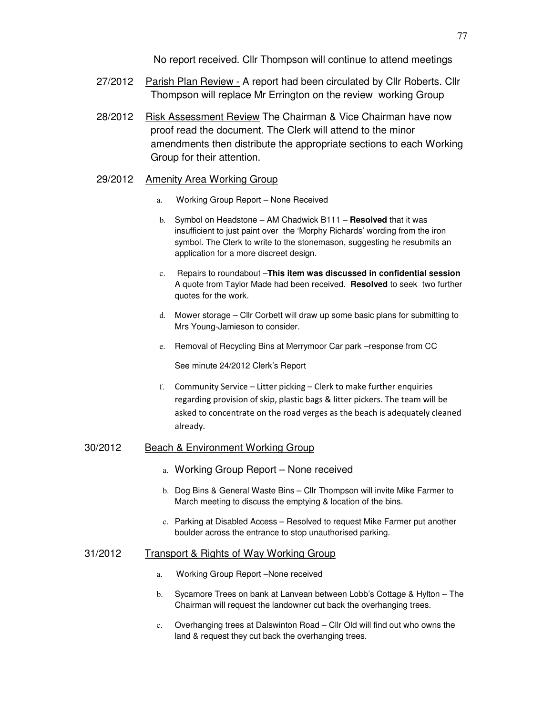No report received. Cllr Thompson will continue to attend meetings

- 27/2012 Parish Plan Review A report had been circulated by Cllr Roberts. Cllr Thompson will replace Mr Errington on the review working Group
- 28/2012 Risk Assessment Review The Chairman & Vice Chairman have now proof read the document. The Clerk will attend to the minor amendments then distribute the appropriate sections to each Working Group for their attention.

#### 29/2012 Amenity Area Working Group

- a. Working Group Report None Received
- b. Symbol on Headstone AM Chadwick B111 **Resolved** that it was insufficient to just paint over the 'Morphy Richards' wording from the iron symbol. The Clerk to write to the stonemason, suggesting he resubmits an application for a more discreet design.
- c. Repairs to roundabout –**This item was discussed in confidential session** A quote from Taylor Made had been received. **Resolved** to seek two further quotes for the work.
- d. Mower storage Cllr Corbett will draw up some basic plans for submitting to Mrs Young-Jamieson to consider.
- e. Removal of Recycling Bins at Merrymoor Car park –response from CC

See minute 24/2012 Clerk's Report

f. Community Service – Litter picking – Clerk to make further enquiries regarding provision of skip, plastic bags & litter pickers. The team will be asked to concentrate on the road verges as the beach is adequately cleaned already.

## 30/2012 Beach & Environment Working Group

- a. Working Group Report None received
- b. Dog Bins & General Waste Bins Cllr Thompson will invite Mike Farmer to March meeting to discuss the emptying & location of the bins.
- c. Parking at Disabled Access Resolved to request Mike Farmer put another boulder across the entrance to stop unauthorised parking.

### 31/2012 Transport & Rights of Way Working Group

- a. Working Group Report –None received
- b. Sycamore Trees on bank at Lanvean between Lobb's Cottage & Hylton The Chairman will request the landowner cut back the overhanging trees.
- c. Overhanging trees at Dalswinton Road Cllr Old will find out who owns the land & request they cut back the overhanging trees.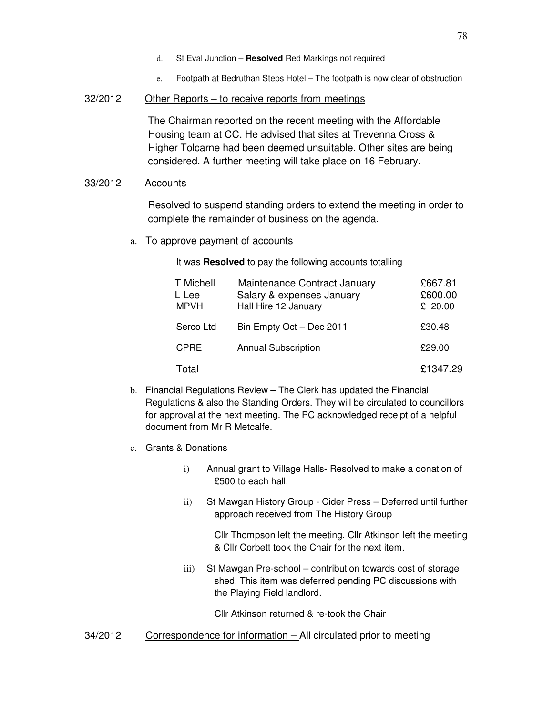- d. St Eval Junction **Resolved** Red Markings not required
- e. Footpath at Bedruthan Steps Hotel The footpath is now clear of obstruction

### 32/2012 Other Reports – to receive reports from meetings

The Chairman reported on the recent meeting with the Affordable Housing team at CC. He advised that sites at Trevenna Cross & Higher Tolcarne had been deemed unsuitable. Other sites are being considered. A further meeting will take place on 16 February.

# 33/2012 Accounts

Resolved to suspend standing orders to extend the meeting in order to complete the remainder of business on the agenda.

a. To approve payment of accounts

It was **Resolved** to pay the following accounts totalling

| <b>T</b> Michell<br>L Lee<br>MPVH | Maintenance Contract January<br>Salary & expenses January<br>Hall Hire 12 January | £667.81<br>£600.00<br>£ 20.00 |
|-----------------------------------|-----------------------------------------------------------------------------------|-------------------------------|
| Serco Ltd                         | Bin Empty Oct - Dec 2011                                                          | £30.48                        |
| <b>CPRE</b>                       | <b>Annual Subscription</b>                                                        | £29.00                        |
| Total                             |                                                                                   | £1347.29                      |

- b. Financial Regulations Review The Clerk has updated the Financial Regulations & also the Standing Orders. They will be circulated to councillors for approval at the next meeting. The PC acknowledged receipt of a helpful document from Mr R Metcalfe.
- c. Grants & Donations
	- i) Annual grant to Village Halls- Resolved to make a donation of £500 to each hall.
	- ii) St Mawgan History Group Cider Press Deferred until further approach received from The History Group

Cllr Thompson left the meeting. Cllr Atkinson left the meeting & Cllr Corbett took the Chair for the next item.

iii) St Mawgan Pre-school – contribution towards cost of storage shed. This item was deferred pending PC discussions with the Playing Field landlord.

Cllr Atkinson returned & re-took the Chair

34/2012 Correspondence for information – All circulated prior to meeting